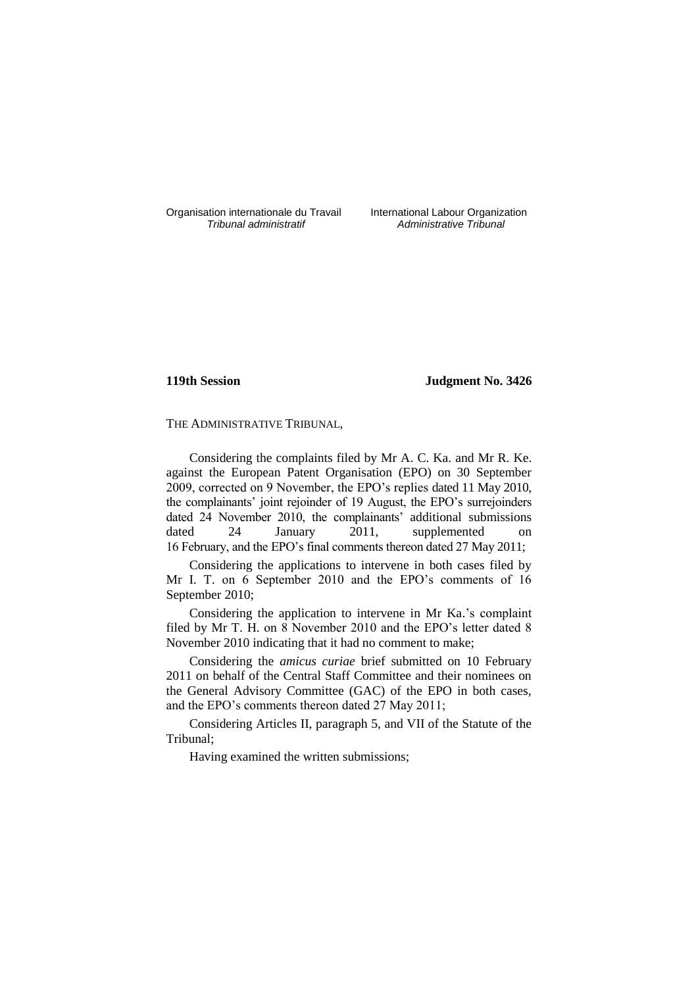Organisation internationale du Travail International Labour Organization<br>*Tribunal administratif* Administrative Tribunal

*Tribunal administratif Administrative Tribunal*

# **119th Session Judgment No. 3426**

THE ADMINISTRATIVE TRIBUNAL,

Considering the complaints filed by Mr A. C. Ka. and Mr R. Ke. against the European Patent Organisation (EPO) on 30 September 2009, corrected on 9 November, the EPO's replies dated 11 May 2010, the complainants' joint rejoinder of 19 August, the EPO's surrejoinders dated 24 November 2010, the complainants' additional submissions dated 24 January 2011, supplemented on 16 February, and the EPO's final comments thereon dated 27 May 2011;

Considering the applications to intervene in both cases filed by Mr I. T. on 6 September 2010 and the EPO's comments of 16 September 2010;

Considering the application to intervene in Mr Ka.'s complaint filed by Mr T. H. on 8 November 2010 and the EPO's letter dated 8 November 2010 indicating that it had no comment to make;

Considering the *amicus curiae* brief submitted on 10 February 2011 on behalf of the Central Staff Committee and their nominees on the General Advisory Committee (GAC) of the EPO in both cases, and the EPO's comments thereon dated 27 May 2011;

Considering Articles II, paragraph 5, and VII of the Statute of the Tribunal;

Having examined the written submissions;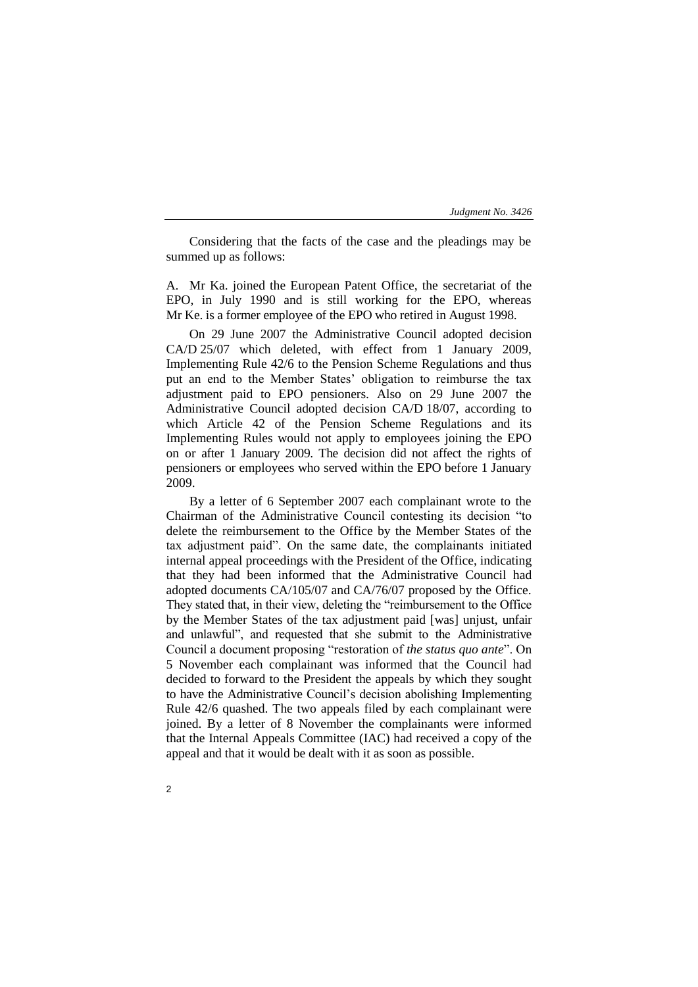Considering that the facts of the case and the pleadings may be summed up as follows:

A. Mr Ka. joined the European Patent Office, the secretariat of the EPO, in July 1990 and is still working for the EPO, whereas Mr Ke. is a former employee of the EPO who retired in August 1998.

On 29 June 2007 the Administrative Council adopted decision CA/D 25/07 which deleted, with effect from 1 January 2009, Implementing Rule 42/6 to the Pension Scheme Regulations and thus put an end to the Member States' obligation to reimburse the tax adjustment paid to EPO pensioners. Also on 29 June 2007 the Administrative Council adopted decision CA/D 18/07, according to which Article 42 of the Pension Scheme Regulations and its Implementing Rules would not apply to employees joining the EPO on or after 1 January 2009. The decision did not affect the rights of pensioners or employees who served within the EPO before 1 January 2009.

By a letter of 6 September 2007 each complainant wrote to the Chairman of the Administrative Council contesting its decision "to delete the reimbursement to the Office by the Member States of the tax adjustment paid". On the same date, the complainants initiated internal appeal proceedings with the President of the Office, indicating that they had been informed that the Administrative Council had adopted documents CA/105/07 and CA/76/07 proposed by the Office. They stated that, in their view, deleting the "reimbursement to the Office by the Member States of the tax adjustment paid [was] unjust, unfair and unlawful", and requested that she submit to the Administrative Council a document proposing "restoration of *the status quo ante*". On 5 November each complainant was informed that the Council had decided to forward to the President the appeals by which they sought to have the Administrative Council's decision abolishing Implementing Rule 42/6 quashed. The two appeals filed by each complainant were joined. By a letter of 8 November the complainants were informed that the Internal Appeals Committee (IAC) had received a copy of the appeal and that it would be dealt with it as soon as possible.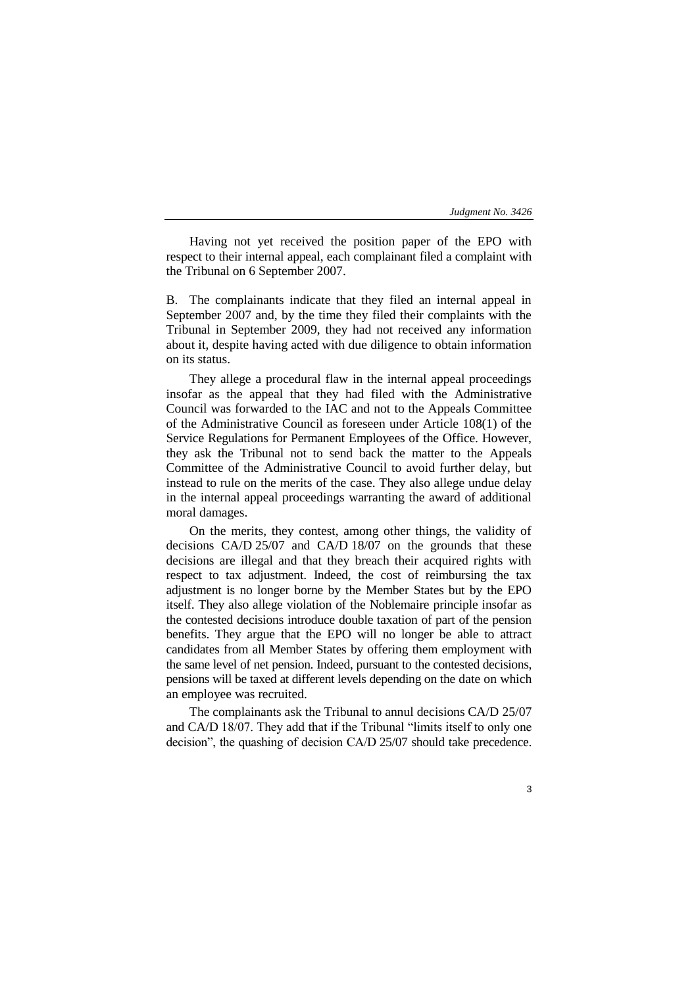Having not yet received the position paper of the EPO with respect to their internal appeal, each complainant filed a complaint with the Tribunal on 6 September 2007.

B. The complainants indicate that they filed an internal appeal in September 2007 and, by the time they filed their complaints with the Tribunal in September 2009, they had not received any information about it, despite having acted with due diligence to obtain information on its status.

They allege a procedural flaw in the internal appeal proceedings insofar as the appeal that they had filed with the Administrative Council was forwarded to the IAC and not to the Appeals Committee of the Administrative Council as foreseen under Article 108(1) of the Service Regulations for Permanent Employees of the Office. However, they ask the Tribunal not to send back the matter to the Appeals Committee of the Administrative Council to avoid further delay, but instead to rule on the merits of the case. They also allege undue delay in the internal appeal proceedings warranting the award of additional moral damages.

On the merits, they contest, among other things, the validity of decisions CA/D 25/07 and CA/D 18/07 on the grounds that these decisions are illegal and that they breach their acquired rights with respect to tax adjustment. Indeed, the cost of reimbursing the tax adjustment is no longer borne by the Member States but by the EPO itself. They also allege violation of the Noblemaire principle insofar as the contested decisions introduce double taxation of part of the pension benefits. They argue that the EPO will no longer be able to attract candidates from all Member States by offering them employment with the same level of net pension. Indeed, pursuant to the contested decisions, pensions will be taxed at different levels depending on the date on which an employee was recruited.

The complainants ask the Tribunal to annul decisions CA/D 25/07 and CA/D 18/07. They add that if the Tribunal "limits itself to only one decision", the quashing of decision CA/D 25/07 should take precedence.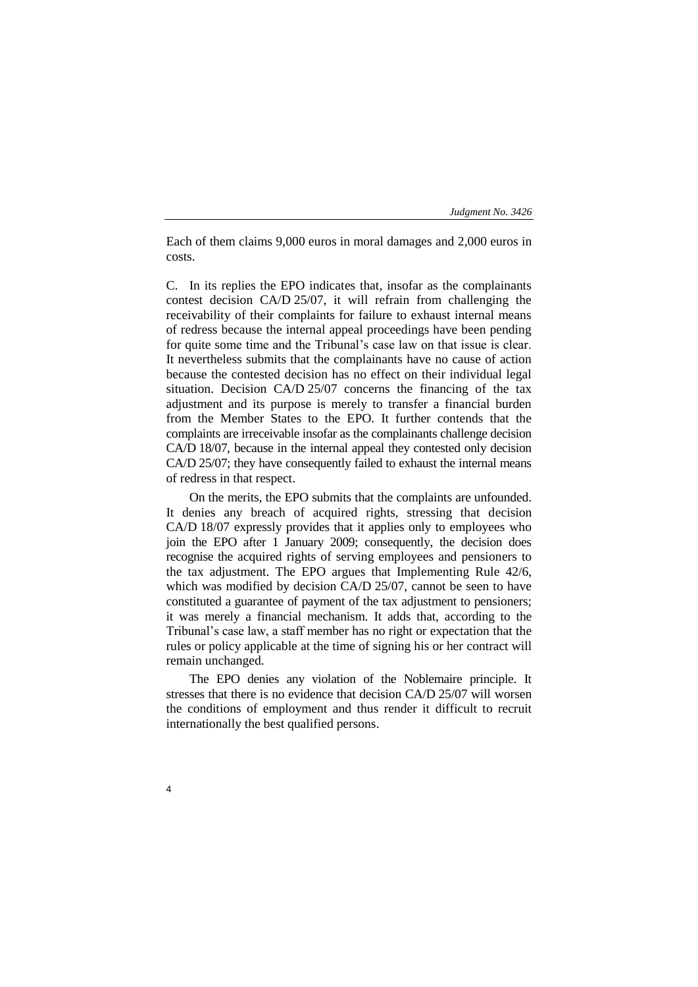Each of them claims 9,000 euros in moral damages and 2,000 euros in costs.

C. In its replies the EPO indicates that, insofar as the complainants contest decision CA/D 25/07, it will refrain from challenging the receivability of their complaints for failure to exhaust internal means of redress because the internal appeal proceedings have been pending for quite some time and the Tribunal's case law on that issue is clear. It nevertheless submits that the complainants have no cause of action because the contested decision has no effect on their individual legal situation. Decision CA/D 25/07 concerns the financing of the tax adjustment and its purpose is merely to transfer a financial burden from the Member States to the EPO. It further contends that the complaints are irreceivable insofar as the complainants challenge decision CA/D 18/07, because in the internal appeal they contested only decision CA/D 25/07; they have consequently failed to exhaust the internal means of redress in that respect.

On the merits, the EPO submits that the complaints are unfounded. It denies any breach of acquired rights, stressing that decision CA/D 18/07 expressly provides that it applies only to employees who join the EPO after 1 January 2009; consequently, the decision does recognise the acquired rights of serving employees and pensioners to the tax adjustment. The EPO argues that Implementing Rule 42/6, which was modified by decision CA/D 25/07, cannot be seen to have constituted a guarantee of payment of the tax adjustment to pensioners; it was merely a financial mechanism. It adds that, according to the Tribunal's case law, a staff member has no right or expectation that the rules or policy applicable at the time of signing his or her contract will remain unchanged.

The EPO denies any violation of the Noblemaire principle. It stresses that there is no evidence that decision CA/D 25/07 will worsen the conditions of employment and thus render it difficult to recruit internationally the best qualified persons.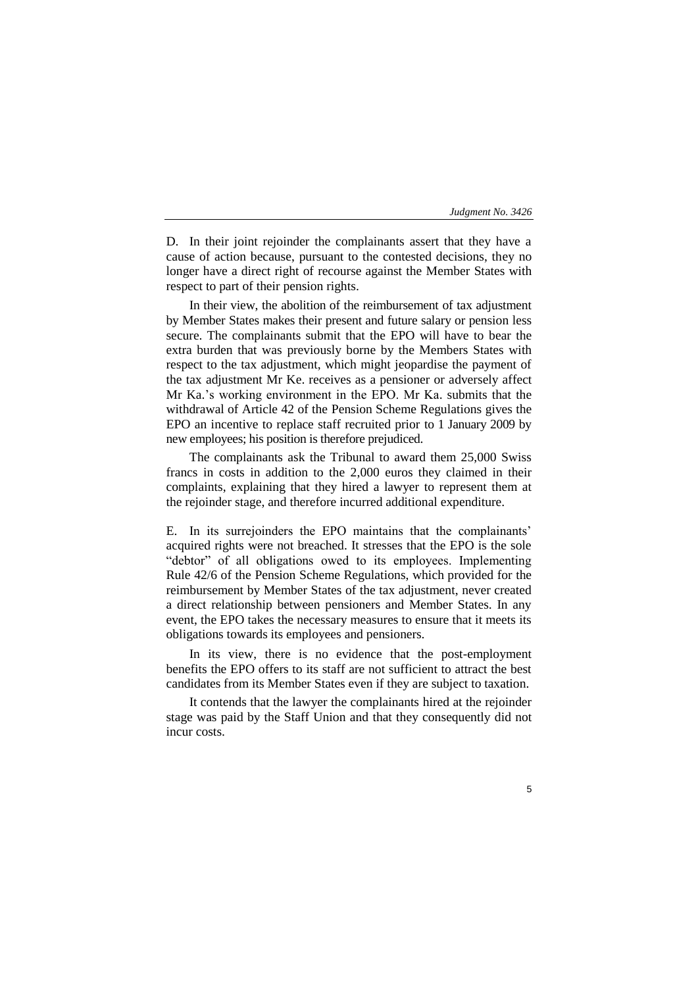D. In their joint rejoinder the complainants assert that they have a cause of action because, pursuant to the contested decisions, they no longer have a direct right of recourse against the Member States with respect to part of their pension rights.

In their view, the abolition of the reimbursement of tax adjustment by Member States makes their present and future salary or pension less secure. The complainants submit that the EPO will have to bear the extra burden that was previously borne by the Members States with respect to the tax adjustment, which might jeopardise the payment of the tax adjustment Mr Ke. receives as a pensioner or adversely affect Mr Ka.'s working environment in the EPO. Mr Ka. submits that the withdrawal of Article 42 of the Pension Scheme Regulations gives the EPO an incentive to replace staff recruited prior to 1 January 2009 by new employees; his position is therefore prejudiced.

The complainants ask the Tribunal to award them 25,000 Swiss francs in costs in addition to the 2,000 euros they claimed in their complaints, explaining that they hired a lawyer to represent them at the rejoinder stage, and therefore incurred additional expenditure.

E. In its surrejoinders the EPO maintains that the complainants' acquired rights were not breached. It stresses that the EPO is the sole "debtor" of all obligations owed to its employees. Implementing Rule 42/6 of the Pension Scheme Regulations, which provided for the reimbursement by Member States of the tax adjustment, never created a direct relationship between pensioners and Member States. In any event, the EPO takes the necessary measures to ensure that it meets its obligations towards its employees and pensioners.

In its view, there is no evidence that the post-employment benefits the EPO offers to its staff are not sufficient to attract the best candidates from its Member States even if they are subject to taxation.

It contends that the lawyer the complainants hired at the rejoinder stage was paid by the Staff Union and that they consequently did not incur costs.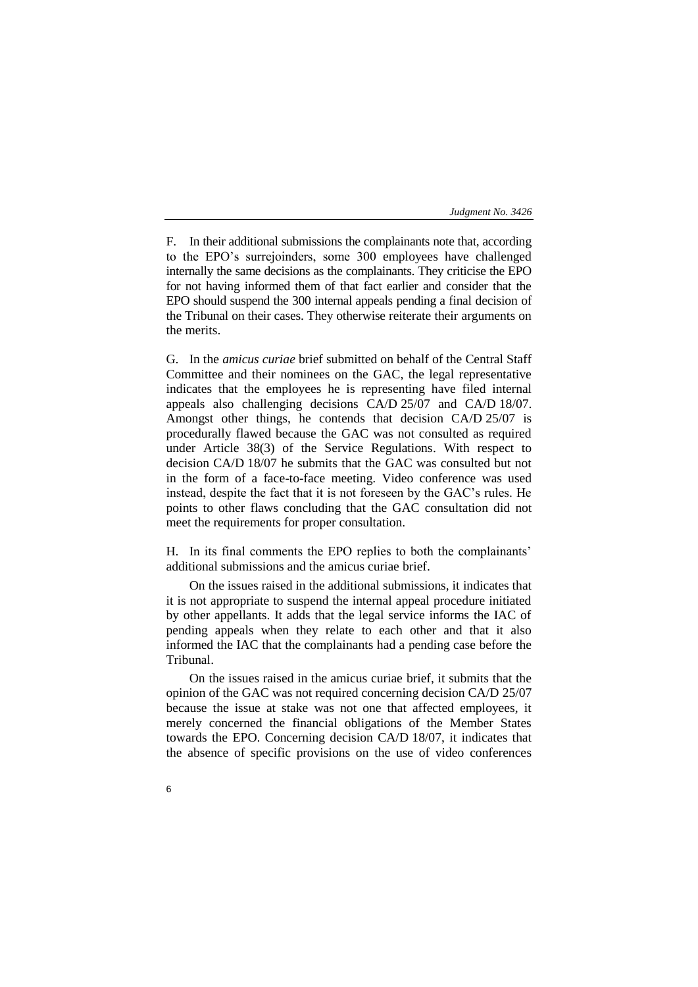F. In their additional submissions the complainants note that, according to the EPO's surrejoinders, some 300 employees have challenged internally the same decisions as the complainants. They criticise the EPO for not having informed them of that fact earlier and consider that the EPO should suspend the 300 internal appeals pending a final decision of the Tribunal on their cases. They otherwise reiterate their arguments on the merits.

G. In the *amicus curiae* brief submitted on behalf of the Central Staff Committee and their nominees on the GAC, the legal representative indicates that the employees he is representing have filed internal appeals also challenging decisions CA/D 25/07 and CA/D 18/07. Amongst other things, he contends that decision CA/D 25/07 is procedurally flawed because the GAC was not consulted as required under Article 38(3) of the Service Regulations. With respect to decision CA/D 18/07 he submits that the GAC was consulted but not in the form of a face-to-face meeting. Video conference was used instead, despite the fact that it is not foreseen by the GAC's rules. He points to other flaws concluding that the GAC consultation did not meet the requirements for proper consultation.

H. In its final comments the EPO replies to both the complainants' additional submissions and the amicus curiae brief.

On the issues raised in the additional submissions, it indicates that it is not appropriate to suspend the internal appeal procedure initiated by other appellants. It adds that the legal service informs the IAC of pending appeals when they relate to each other and that it also informed the IAC that the complainants had a pending case before the Tribunal.

On the issues raised in the amicus curiae brief, it submits that the opinion of the GAC was not required concerning decision CA/D 25/07 because the issue at stake was not one that affected employees, it merely concerned the financial obligations of the Member States towards the EPO. Concerning decision CA/D 18/07, it indicates that the absence of specific provisions on the use of video conferences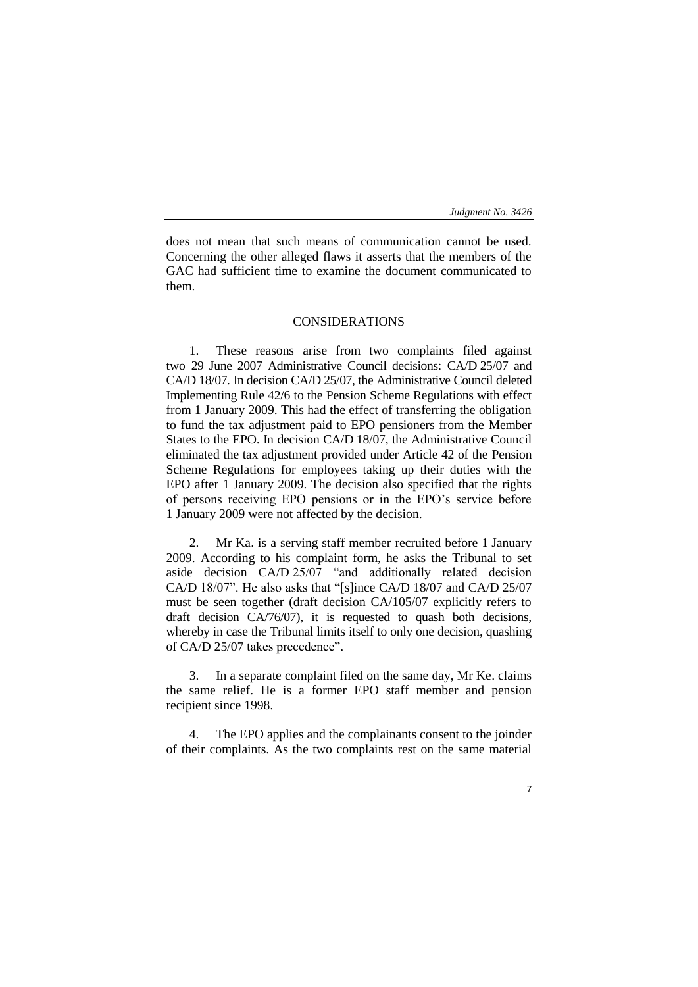does not mean that such means of communication cannot be used. Concerning the other alleged flaws it asserts that the members of the GAC had sufficient time to examine the document communicated to them.

# CONSIDERATIONS

1. These reasons arise from two complaints filed against two 29 June 2007 Administrative Council decisions: CA/D 25/07 and CA/D 18/07. In decision CA/D 25/07, the Administrative Council deleted Implementing Rule 42/6 to the Pension Scheme Regulations with effect from 1 January 2009. This had the effect of transferring the obligation to fund the tax adjustment paid to EPO pensioners from the Member States to the EPO. In decision CA/D 18/07, the Administrative Council eliminated the tax adjustment provided under Article 42 of the Pension Scheme Regulations for employees taking up their duties with the EPO after 1 January 2009. The decision also specified that the rights of persons receiving EPO pensions or in the EPO's service before 1 January 2009 were not affected by the decision.

2. Mr Ka. is a serving staff member recruited before 1 January 2009. According to his complaint form, he asks the Tribunal to set aside decision CA/D 25/07 "and additionally related decision CA/D 18/07". He also asks that "[s]ince CA/D 18/07 and CA/D 25/07 must be seen together (draft decision CA/105/07 explicitly refers to draft decision CA/76/07), it is requested to quash both decisions, whereby in case the Tribunal limits itself to only one decision, quashing of CA/D 25/07 takes precedence".

3. In a separate complaint filed on the same day, Mr Ke. claims the same relief. He is a former EPO staff member and pension recipient since 1998.

4. The EPO applies and the complainants consent to the joinder of their complaints. As the two complaints rest on the same material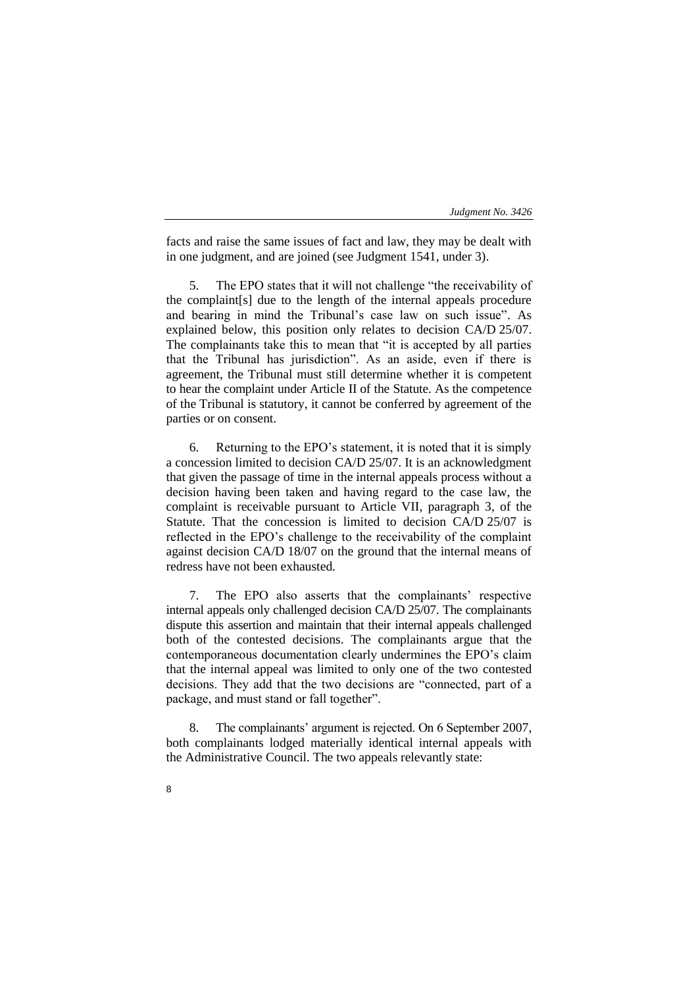facts and raise the same issues of fact and law, they may be dealt with in one judgment, and are joined (see Judgment 1541, under 3).

The EPO states that it will not challenge "the receivability of the complaint[s] due to the length of the internal appeals procedure and bearing in mind the Tribunal's case law on such issue". As explained below, this position only relates to decision CA/D 25/07. The complainants take this to mean that "it is accepted by all parties that the Tribunal has jurisdiction". As an aside, even if there is agreement, the Tribunal must still determine whether it is competent to hear the complaint under Article II of the Statute. As the competence of the Tribunal is statutory, it cannot be conferred by agreement of the parties or on consent.

6. Returning to the EPO's statement, it is noted that it is simply a concession limited to decision CA/D 25/07. It is an acknowledgment that given the passage of time in the internal appeals process without a decision having been taken and having regard to the case law, the complaint is receivable pursuant to Article VII, paragraph 3, of the Statute. That the concession is limited to decision CA/D 25/07 is reflected in the EPO's challenge to the receivability of the complaint against decision CA/D 18/07 on the ground that the internal means of redress have not been exhausted.

7. The EPO also asserts that the complainants' respective internal appeals only challenged decision CA/D 25/07. The complainants dispute this assertion and maintain that their internal appeals challenged both of the contested decisions. The complainants argue that the contemporaneous documentation clearly undermines the EPO's claim that the internal appeal was limited to only one of the two contested decisions. They add that the two decisions are "connected, part of a package, and must stand or fall together".

8. The complainants' argument is rejected. On 6 September 2007, both complainants lodged materially identical internal appeals with the Administrative Council. The two appeals relevantly state: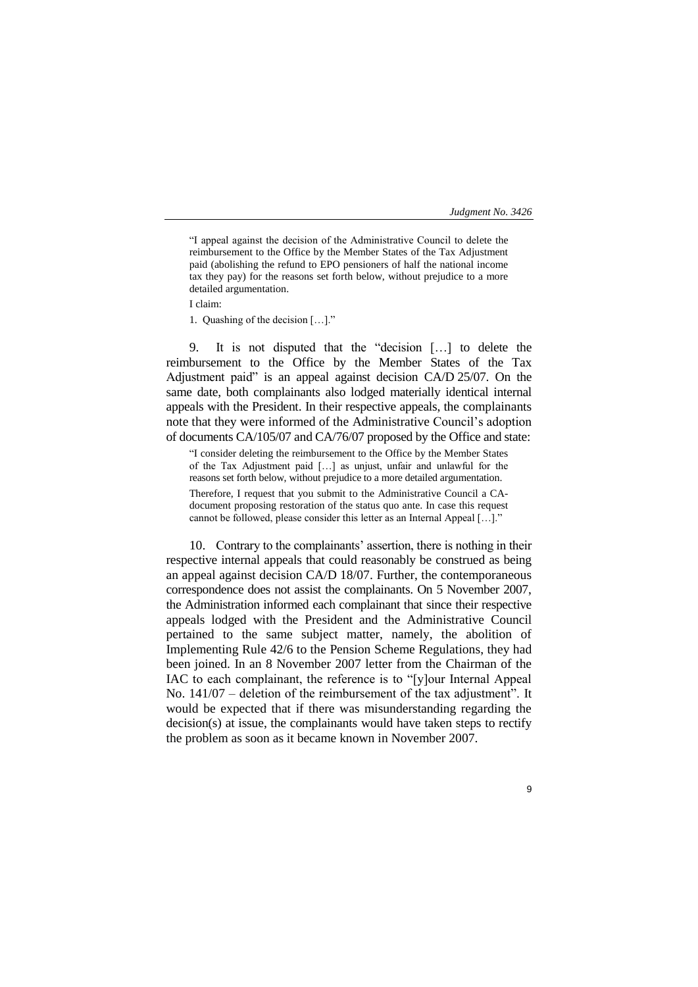"I appeal against the decision of the Administrative Council to delete the reimbursement to the Office by the Member States of the Tax Adjustment paid (abolishing the refund to EPO pensioners of half the national income tax they pay) for the reasons set forth below, without prejudice to a more detailed argumentation.

I claim:

1. Quashing of the decision […]."

9. It is not disputed that the "decision […] to delete the reimbursement to the Office by the Member States of the Tax Adjustment paid" is an appeal against decision CA/D 25/07. On the same date, both complainants also lodged materially identical internal appeals with the President. In their respective appeals, the complainants note that they were informed of the Administrative Council's adoption of documents CA/105/07 and CA/76/07 proposed by the Office and state:

"I consider deleting the reimbursement to the Office by the Member States of the Tax Adjustment paid […] as unjust, unfair and unlawful for the reasons set forth below, without prejudice to a more detailed argumentation. Therefore, I request that you submit to the Administrative Council a CAdocument proposing restoration of the status quo ante. In case this request cannot be followed, please consider this letter as an Internal Appeal […]."

10. Contrary to the complainants' assertion, there is nothing in their respective internal appeals that could reasonably be construed as being an appeal against decision CA/D 18/07. Further, the contemporaneous correspondence does not assist the complainants. On 5 November 2007, the Administration informed each complainant that since their respective appeals lodged with the President and the Administrative Council pertained to the same subject matter, namely, the abolition of Implementing Rule 42/6 to the Pension Scheme Regulations, they had been joined. In an 8 November 2007 letter from the Chairman of the IAC to each complainant, the reference is to "[y]our Internal Appeal No. 141/07 – deletion of the reimbursement of the tax adjustment". It would be expected that if there was misunderstanding regarding the decision(s) at issue, the complainants would have taken steps to rectify the problem as soon as it became known in November 2007.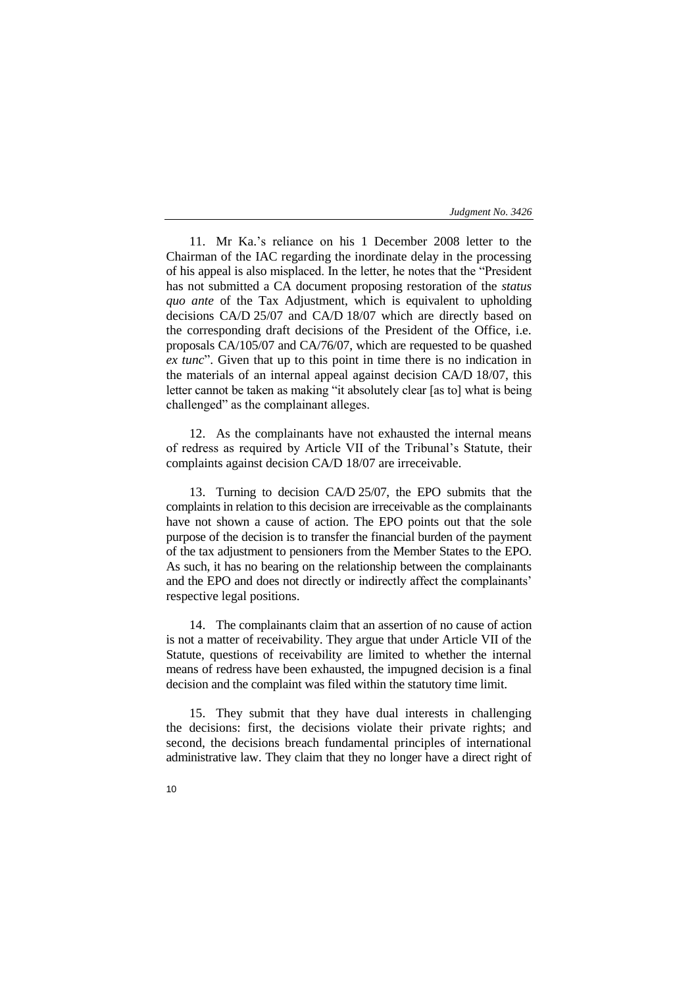11. Mr Ka.'s reliance on his 1 December 2008 letter to the Chairman of the IAC regarding the inordinate delay in the processing of his appeal is also misplaced. In the letter, he notes that the "President has not submitted a CA document proposing restoration of the *status quo ante* of the Tax Adjustment, which is equivalent to upholding decisions CA/D 25/07 and CA/D 18/07 which are directly based on the corresponding draft decisions of the President of the Office, i.e. proposals CA/105/07 and CA/76/07, which are requested to be quashed *ex tunc*". Given that up to this point in time there is no indication in the materials of an internal appeal against decision CA/D 18/07, this letter cannot be taken as making "it absolutely clear [as to] what is being challenged" as the complainant alleges.

12. As the complainants have not exhausted the internal means of redress as required by Article VII of the Tribunal's Statute, their complaints against decision CA/D 18/07 are irreceivable.

13. Turning to decision CA/D 25/07, the EPO submits that the complaints in relation to this decision are irreceivable as the complainants have not shown a cause of action. The EPO points out that the sole purpose of the decision is to transfer the financial burden of the payment of the tax adjustment to pensioners from the Member States to the EPO. As such, it has no bearing on the relationship between the complainants and the EPO and does not directly or indirectly affect the complainants' respective legal positions.

14. The complainants claim that an assertion of no cause of action is not a matter of receivability. They argue that under Article VII of the Statute, questions of receivability are limited to whether the internal means of redress have been exhausted, the impugned decision is a final decision and the complaint was filed within the statutory time limit.

15. They submit that they have dual interests in challenging the decisions: first, the decisions violate their private rights; and second, the decisions breach fundamental principles of international administrative law. They claim that they no longer have a direct right of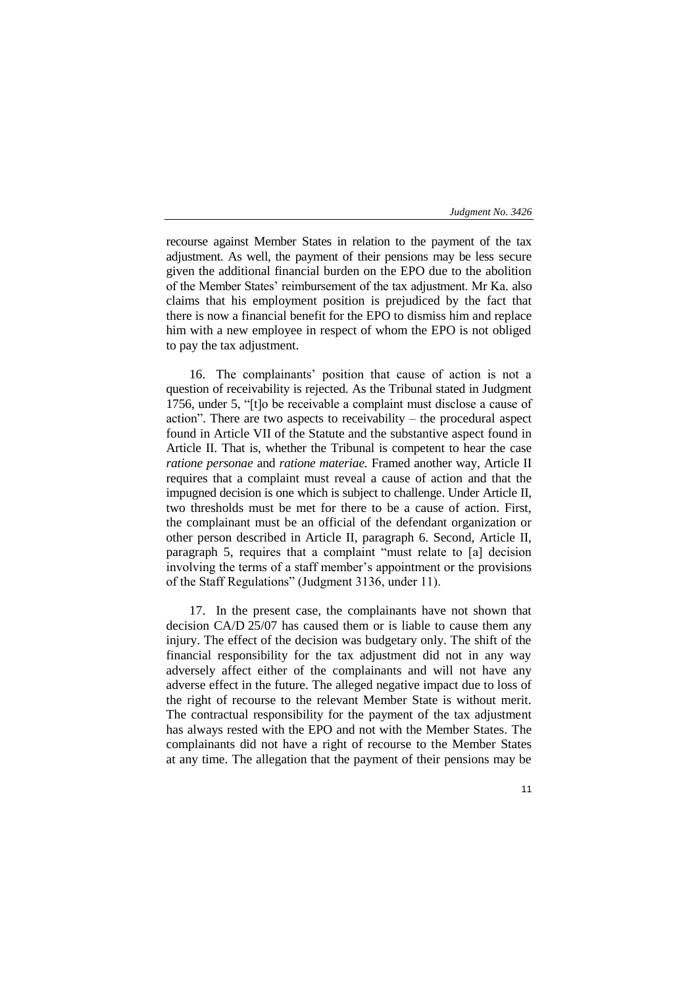recourse against Member States in relation to the payment of the tax adjustment. As well, the payment of their pensions may be less secure given the additional financial burden on the EPO due to the abolition of the Member States' reimbursement of the tax adjustment. Mr Ka. also claims that his employment position is prejudiced by the fact that there is now a financial benefit for the EPO to dismiss him and replace him with a new employee in respect of whom the EPO is not obliged to pay the tax adjustment.

16. The complainants' position that cause of action is not a question of receivability is rejected. As the Tribunal stated in Judgment 1756, under 5, "[t]o be receivable a complaint must disclose a cause of action". There are two aspects to receivability – the procedural aspect found in Article VII of the Statute and the substantive aspect found in Article II. That is, whether the Tribunal is competent to hear the case *ratione personae* and *ratione materiae.* Framed another way, Article II requires that a complaint must reveal a cause of action and that the impugned decision is one which is subject to challenge. Under Article II, two thresholds must be met for there to be a cause of action. First, the complainant must be an official of the defendant organization or other person described in Article II, paragraph 6. Second, Article II, paragraph 5, requires that a complaint "must relate to [a] decision involving the terms of a staff member's appointment or the provisions of the Staff Regulations" (Judgment 3136, under 11).

17. In the present case, the complainants have not shown that decision CA/D 25/07 has caused them or is liable to cause them any injury. The effect of the decision was budgetary only. The shift of the financial responsibility for the tax adjustment did not in any way adversely affect either of the complainants and will not have any adverse effect in the future. The alleged negative impact due to loss of the right of recourse to the relevant Member State is without merit. The contractual responsibility for the payment of the tax adjustment has always rested with the EPO and not with the Member States. The complainants did not have a right of recourse to the Member States at any time. The allegation that the payment of their pensions may be